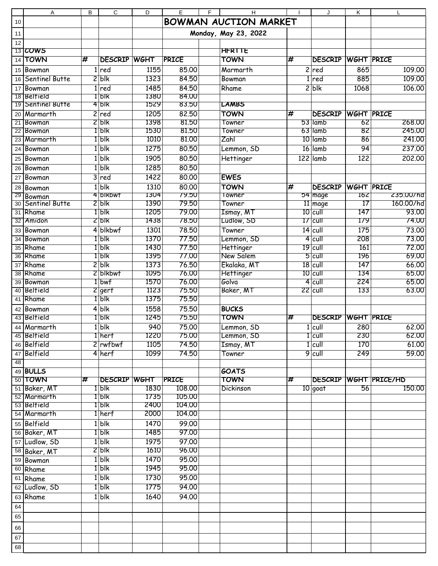|    | Α                          | B              | $\mathsf{C}$        | D            | E                | F | H                            |                               | J                     | K                 | $\mathsf{L}$                 |
|----|----------------------------|----------------|---------------------|--------------|------------------|---|------------------------------|-------------------------------|-----------------------|-------------------|------------------------------|
| 10 |                            |                |                     |              |                  |   | <b>BOWMAN AUCTION MARKET</b> |                               |                       |                   |                              |
| 11 |                            |                |                     |              |                  |   | Monday, May 23, 2022         |                               |                       |                   |                              |
| 12 |                            |                |                     |              |                  |   |                              |                               |                       |                   |                              |
|    | 13 COWS                    |                |                     |              |                  |   | <b>HFRTTE</b>                |                               |                       |                   |                              |
|    | 14 TOWN                    | #              | <b>DESCRIP</b>      | <b>WGHT</b>  | <b>PRICE</b>     |   | <b>TOWN</b>                  | #                             | <b>DESCRIP</b>        | WGHT PRICE        |                              |
|    | 15 Bowman                  |                | $1$ red             | 1155         | 85.00            |   | Marmarth                     | $\overline{c}$                | red                   | 865               | 109.00                       |
|    | 16 Sentinel Butte          |                | $2$ blk             | 1323         | 84.50            |   | Bowman                       |                               | red                   | 885               | 109.00                       |
|    |                            |                |                     | 1485         |                  |   |                              |                               |                       | 1068              |                              |
|    | 17 Bowman<br>18 Beltield   |                | $1$ red<br>$1$ Ык   | 1380         | 84.50<br>84.00   |   | Rhame                        |                               | $2$ blk               |                   | 106.00                       |
|    | 19 Sentinel Butte          |                | $4$ blk             | 1529         | 83.50            |   | <b>LAMBS</b>                 |                               |                       |                   |                              |
|    | 20 Marmarth                | $\overline{2}$ | red                 | 1205         | 82.50            |   | <b>TOWN</b>                  | #                             | <b>DESCRIP</b>        | WGHT PRICE        |                              |
|    | 21 Bowman                  |                | $2$ blk             | 1398         | 81.50            |   | Towner                       |                               | $53$ lamb             | 62                | 268,00                       |
|    | 22 Bowman                  |                | $1$  blk            | 1530         | 81.50            |   | Towner                       |                               | 63 lamb               | 82                | 245.00                       |
|    | 23 Marmarth                |                | $1$ blk             | 1010         | 81.00            |   | Zahl                         |                               | 10 lamb               | 86                | 241.00                       |
|    | 24 Bowman                  |                | 1 b k               | 1275         | 80.50            |   | Lemmon, SD                   |                               | $16$ lamb             | 94                | 237.00                       |
|    | 25 Bowman                  |                | 1 b k               | 1905         | 80,50            |   |                              |                               | $122$ lamb            | 122               | 202,00                       |
|    |                            |                |                     |              |                  |   | Hettinger                    |                               |                       |                   |                              |
| 26 | Bowman                     |                | 1 b k               | 1285         | 80.50            |   |                              |                               |                       |                   |                              |
| 27 | Bowman                     |                | $3$ red             | 1422         | 80.00            |   | <b>EWES</b>                  |                               |                       |                   |                              |
|    | 28 Bowman                  | 1 <sup>1</sup> | blk                 | 1310         | 80.00            |   | <b>TOWN</b>                  | $\overline{\boldsymbol{\pi}}$ | <b>DESCRIP</b>        | <b>WGHT PRICE</b> |                              |
| 29 | Bowman                     |                | 4DIKbwt             | 1304         | 79.50            |   | Towner                       |                               | $54$ mage             | 162               | 235.00/hd                    |
| 30 | <b>Sentinel Butte</b>      |                | 2 b k               | 1390         | 79.50            |   | Towner                       |                               | 11 mage               | 17                | 160.00/hd                    |
|    | 31 Rhame                   |                | $1$ blk             | 1205         | 79.00            |   | Ismay, MT                    |                               | $10$ cull             | 147               | 93.00                        |
|    | 32 Amidon                  |                | $2$ blk             | 1438         | 78.50            |   | Ludlow, SD                   |                               | $17$ cull             | 179               | 74.00                        |
|    | 33 Bowman                  |                | 4 blkbwf            | 1301         | 78.50            |   | Towner                       |                               | $14$ cull             | 175               | 73.00                        |
|    | 34 Bowman                  |                | $1$ blk             | 1370         | 77.50            |   | Lemmon, SD                   |                               | $4$ cull              | 208               | 73.00                        |
|    | 35 Rhame                   |                | $1$ blk             | 1430         | 77.50            |   | <b>Hettinger</b>             |                               | $19$ cull             | 161               | 72.00                        |
|    | 36 Rhame                   |                | $1$ blk             | 1395         | 77.00            |   | New Salem                    |                               | $5$ cull              | 196               | 69.00                        |
|    | 37 Rhame                   |                | 2 b k               | 1373         | 76.50            |   | Ekalaka, MT                  |                               | $18$ cull             | 147               | 66.00                        |
|    | 38 Rhame                   |                | 2 blkbwf            | 1095         | 76.00            |   | <b>Hettinger</b><br>Golva    |                               | $10$ cull             | 134<br>224        | 65.00                        |
|    | 39 Bowman<br>40 Belfield   |                | 1 bwf               | 1570<br>1123 | 76.00<br>75.50   |   |                              |                               | $4$ cull<br>$22$ cull | 133               | 65.00<br>63.00               |
|    | 41 Rhame                   |                | 2 gerf<br>$1$ blk   | 1375         | 75.50            |   | Baker, MT                    |                               |                       |                   |                              |
|    |                            |                |                     |              |                  |   |                              |                               |                       |                   |                              |
|    | 42 Bowman                  |                | $4$ blk             | 1558         | 75.50            |   | <b>BUCKS</b>                 |                               |                       |                   |                              |
|    | 43 Belfield                |                | $1$  blk            | 1245         | 75.50            |   | TOWN                         | #                             | <b>DESCRIP</b>        | WGHT PRICE        |                              |
|    | 44 Marmarth                |                | $1$ blk             | 940          | 75.00            |   | Lemmon, SD                   |                               | $1$ cull              | 280               | 62.00                        |
|    | 45 Belfield                |                | 1 herf              | 1220         | 75.00            |   | Lemmon, SD                   |                               | $1$ cull              | 230               | 62.00                        |
|    | 46 Belfield                |                | $2$ rwfbwf          | 1105         | 74.50            |   | Ismay, MT                    |                               | $1$ cull              | 170               | 61.00                        |
|    | 47 Belfield                |                | 4 herf              | 1099         | 74.50            |   | Towner                       |                               | $9$ cull              | 249               | 59.00                        |
| 48 |                            |                |                     |              |                  |   |                              |                               |                       |                   |                              |
|    | 49 BULLS                   |                |                     |              |                  |   | GOATS                        |                               |                       |                   |                              |
|    | 50 TOWN                    | #              | <b>DESCRIP WGHT</b> |              | PRICE            |   | <b>TOWN</b>                  | #                             |                       |                   | <b>DESCRIP WGHT PRICE/HD</b> |
|    | 51 Baker, MT               |                | $1$ blk             | 1830         | 108.00           |   | <b>Dickinson</b>             |                               | $10$ goat             | 56                | 150.00                       |
|    | 52 Marmarth<br>53 Belfield |                | $1$ blk<br>$1$ blk  | 1735<br>2400 | 105.00<br>104.00 |   |                              |                               |                       |                   |                              |
|    | 54 Marmarth                |                | $1$ herf            | 2000         | 104.00           |   |                              |                               |                       |                   |                              |
|    |                            |                |                     |              |                  |   |                              |                               |                       |                   |                              |
|    | 55 Belfield                |                | 1 blk               | 1470         | 99.00            |   |                              |                               |                       |                   |                              |
|    | 56 Baker, MT               |                | $1$ blk             | 1485         | 97.00            |   |                              |                               |                       |                   |                              |
|    | 57 Ludlow, SD              |                | 1 blk               | 1975         | 97.00            |   |                              |                               |                       |                   |                              |
|    | 58 Baker, MT               |                | 2 b k               | 1610         | 96.00            |   |                              |                               |                       |                   |                              |
|    | 59 Bowman                  |                | 1 blk               | 1470         | 95.00            |   |                              |                               |                       |                   |                              |
|    | 60 Rhame                   |                | $1$ blk             | 1945         | 95.00            |   |                              |                               |                       |                   |                              |
|    | 61 Rhame                   |                | 1 b k               | 1730         | 95.00            |   |                              |                               |                       |                   |                              |
|    | 62 Ludlow, SD              |                | $1$ blk             | 1775         | 94.00            |   |                              |                               |                       |                   |                              |
|    | 63 Rhame                   |                | 1 blk               | 1640         | 94.00            |   |                              |                               |                       |                   |                              |
| 64 |                            |                |                     |              |                  |   |                              |                               |                       |                   |                              |
| 65 |                            |                |                     |              |                  |   |                              |                               |                       |                   |                              |
| 66 |                            |                |                     |              |                  |   |                              |                               |                       |                   |                              |
|    |                            |                |                     |              |                  |   |                              |                               |                       |                   |                              |
| 67 |                            |                |                     |              |                  |   |                              |                               |                       |                   |                              |
| 68 |                            |                |                     |              |                  |   |                              |                               |                       |                   |                              |